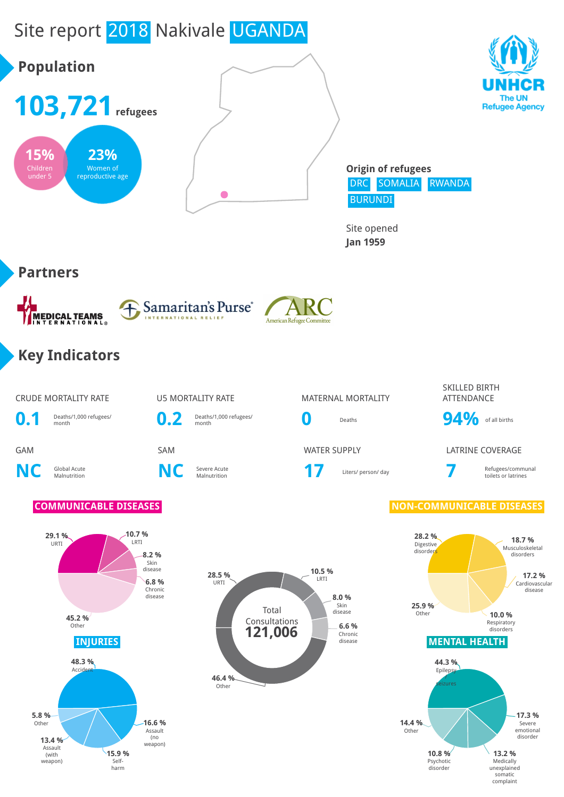# Site report 2018 Nakivale UGANDA



Selfharm

Medically unexplained somatic complaint

Psychotic disorder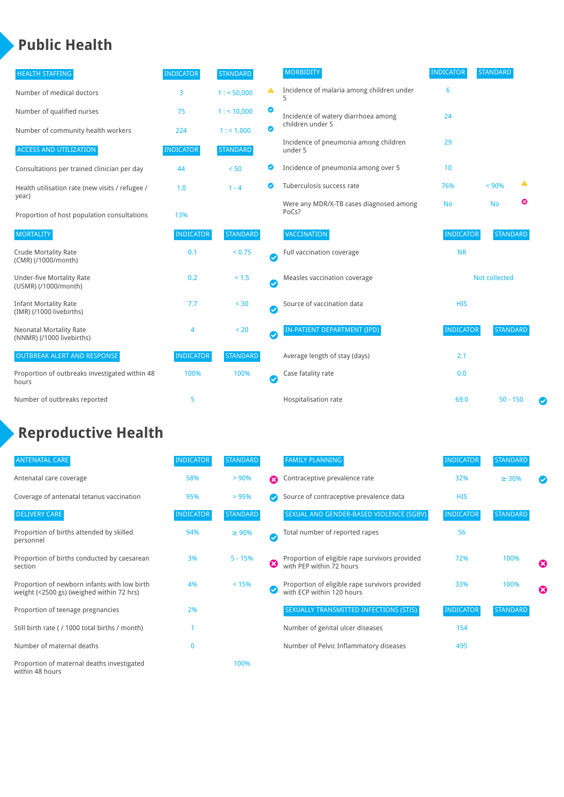### **Public Health**

| <b>HEALTH STAFFING</b>                                      | <b>INDICATOR</b> | <b>STANDARD</b> |           | <b>MORBIDITY</b>                                 | <b>INDICATOR</b> | <b>STANDARD</b> |   |  |
|-------------------------------------------------------------|------------------|-----------------|-----------|--------------------------------------------------|------------------|-----------------|---|--|
| Number of medical doctors                                   | 3                | 1: 50,000       | ▲         | Incidence of malaria among children under<br>5   | 6                |                 |   |  |
| Number of qualified nurses                                  | 75               | 1:10,000        | ◙         | Incidence of watery diarrhoea among              | 24               |                 |   |  |
| Number of community health workers                          | 224              | 1: 1,000        | ◙         | children under 5                                 |                  |                 |   |  |
| <b>ACCESS AND UTILIZATION</b>                               | <b>INDICATOR</b> | <b>STANDARD</b> |           | Incidence of pneumonia among children<br>under 5 | 29               |                 |   |  |
| Consultations per trained clinician per day                 | 44               | < 50            | ◙         | Incidence of pneumonia among over 5              | 10               |                 |   |  |
| Health utilisation rate (new visits / refugee /             | 1.0              | $1 - 4$         | $\bullet$ | Tuberculosis success rate                        | 76%              | < 90%           | ▲ |  |
| year)<br>Proportion of host population consultations        | 13%              |                 |           | Were any MDR/X-TB cases diagnosed among<br>PoCs? | <b>No</b>        | <b>No</b>       | ☺ |  |
| <b>MORTALITY</b>                                            | <b>INDICATOR</b> | <b>STANDARD</b> |           | <b>VACCINATION</b>                               | <b>INDICATOR</b> | <b>STANDARD</b> |   |  |
| <b>Crude Mortality Rate</b><br>(CMR) (/1000/month)          | 0.1              | < 0.75          | Ø         | Full vaccination coverage                        | <b>NR</b>        |                 |   |  |
| <b>Under-five Mortality Rate</b><br>(U5MR) (/1000/month)    | 0.2              | < 1.5           | Ø         | Measles vaccination coverage                     |                  | Not collected   |   |  |
| <b>Infant Mortality Rate</b><br>(IMR) (/1000 livebirths)    | 7.7              | < 30            | Ø         | Source of vaccination data                       | <b>HIS</b>       |                 |   |  |
| <b>Neonatal Mortality Rate</b><br>(NNMR) (/1000 livebirths) | 4                | < 20            | Ø         | <b>IN-PATIENT DEPARTMENT (IPD)</b>               | <b>INDICATOR</b> | <b>STANDARD</b> |   |  |
| <b>OUTBREAK ALERT AND RESPONSE</b>                          | <b>INDICATOR</b> | <b>STANDARD</b> |           | Average length of stay (days)                    | 2.1              |                 |   |  |
| Proportion of outbreaks investigated within 48<br>hours     | 100%             | 100%            | Ø         | Case fatality rate                               | 0.0              |                 |   |  |
| Number of outbreaks reported                                | 5                |                 |           | Hospitalisation rate                             | 69.0             | $50 - 150$      | Ø |  |

### **Reproductive Health**

| <b>ANTENATAL CARE</b>                                                                     | <b>INDICATOR</b> | <b>STANDARD</b> |   | <b>FAMILY PLANNING</b>                                                      | <b>INDICATOR</b> | <b>STANDARD</b> |                               |
|-------------------------------------------------------------------------------------------|------------------|-----------------|---|-----------------------------------------------------------------------------|------------------|-----------------|-------------------------------|
| Antenatal care coverage                                                                   | 58%              | > 90%           | Ω | Contraceptive prevalence rate                                               | 32%              | $\geq 30\%$     | $\bm{\bm{\vartriangleright}}$ |
| Coverage of antenatal tetanus vaccination                                                 | 95%              | >95%            |   | Source of contraceptive prevalence data                                     | <b>HIS</b>       |                 |                               |
| <b>DELIVERY CARE</b>                                                                      | <b>INDICATOR</b> | <b>STANDARD</b> |   | SEXUAL AND GENDER-BASED VIOLENCE (SGBV)                                     | <b>INDICATOR</b> | <b>STANDARD</b> |                               |
| Proportion of births attended by skilled<br>personnel                                     | 94%              | $\geq 90\%$     | Ø | Total number of reported rapes                                              | 56               |                 |                               |
| Proportion of births conducted by caesarean<br>section                                    | 3%               | $5 - 15%$       | ظ | Proportion of eligible rape survivors provided<br>with PEP within 72 hours  | 72%              | 100%            | $\boldsymbol{\omega}$         |
| Proportion of newborn infants with low birth<br>weight (<2500 gs) (weighed within 72 hrs) | 4%               | < 15%           |   | Proportion of eligible rape survivors provided<br>with ECP within 120 hours | 33%              | 100%            | $\boldsymbol{\Omega}$         |
| Proportion of teenage pregnancies                                                         | 2%               |                 |   | SEXUALLY TRANSMITTED INFECTIONS (STIS)                                      | <b>INDICATOR</b> | <b>STANDARD</b> |                               |
| Still birth rate (/ 1000 total births / month)                                            |                  |                 |   | Number of genital ulcer diseases                                            | 154              |                 |                               |
| Number of maternal deaths                                                                 | $\mathbf{0}$     |                 |   | Number of Pelvic Inflammatory diseases                                      | 495              |                 |                               |
| Proportion of maternal deaths investigated<br>within 48 hours                             |                  | 100%            |   |                                                                             |                  |                 |                               |